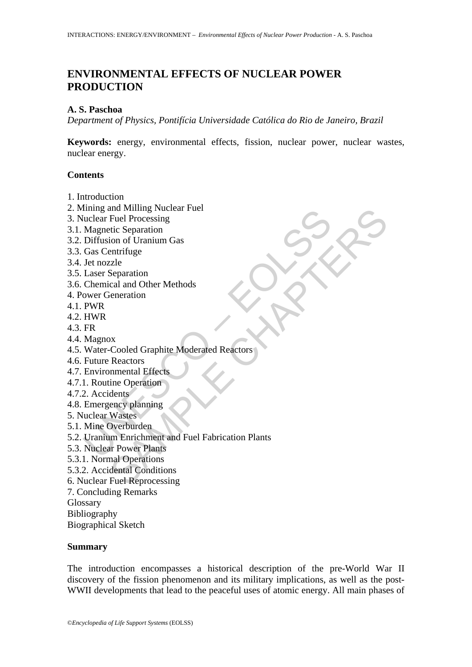# **ENVIRONMENTAL EFFECTS OF NUCLEAR POWER PRODUCTION**

#### **A. S. Paschoa**

*Department of Physics, Pontifícia Universidade Católica do Rio de Janeiro, Brazil* 

**Keywords:** energy, environmental effects, fission, nuclear power, nuclear wastes, nuclear energy.

## **Contents**

- 1. Introduction
- 2. Mining and Milling Nuclear Fuel
- 3. Nuclear Fuel Processing
- 3.1. Magnetic Separation
- 3.2. Diffusion of Uranium Gas
- 3.3. Gas Centrifuge
- 3.4. Jet nozzle
- 3.5. Laser Separation
- 3.6. Chemical and Other Methods
- 4. Power Generation
- 4.1. PWR
- 4.2. HWR
- 4.3. FR
- 4.4. Magnox
- 4.5. Water-Cooled Graphite Moderated Reactors
- 4.6. Future Reactors
- 4.7. Environmental Effects
- 4.7.1. Routine Operation
- 4.7.2. Accidents
- 4.8. Emergency planning
- 5. Nuclear Wastes
- 5.1. Mine Overburden
- ming and Minimg Nuclear Fuel<br>
Inclear Fuel Processing<br>
Magnetic Separation<br>
Diffusion of Uranium Gas<br>
Gas Centrifuge<br>
Jet nozzle<br>
Laser Separation<br>
Ober Ceneration<br>
PWR<br>
HWR<br>
FR<br>
HWR<br>
HWR<br>
HWR<br>
Water-Cooled Graphite Modera no Mulling Nuclear<br>
The Processing<br>
The Processing<br>
The Processing<br>
The Separation<br>
Cal and Other Methods<br>
The Separation<br>
The Operation<br>
SAMPLE CHAPTERS<br>
Accords<br>
The Operation<br>
The Operation<br>
The Operation<br>
The Separatio 5.2. Uranium Enrichment and Fuel Fabrication Plants
- 5.3. Nuclear Power Plants
- 5.3.1. Normal Operations
- 5.3.2. Accidental Conditions
- 6. Nuclear Fuel Reprocessing
- 7. Concluding Remarks
- Glossary
- Bibliography
- Biographical Sketch

#### **Summary**

The introduction encompasses a historical description of the pre-World War II discovery of the fission phenomenon and its military implications, as well as the post-WWII developments that lead to the peaceful uses of atomic energy. All main phases of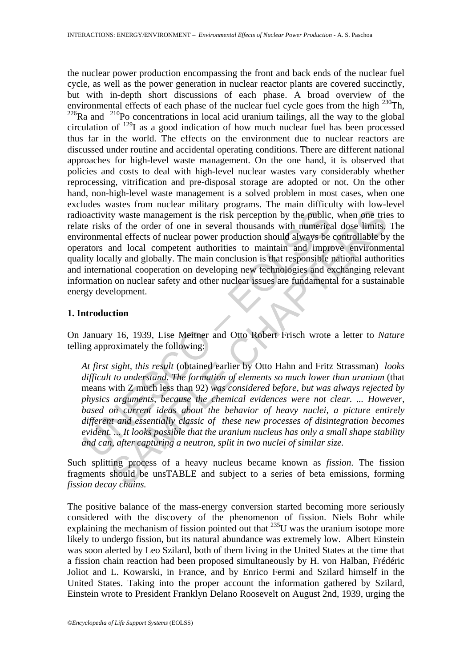oactivity waste management is the risk perception by the public.<br>
te risks of the order of one in several thousands with numerica<br>
rommental effects of nuclear power production should always be<br>
rators and local competent In the state management is the risk perception by the public, when one tries<br>of the order of one in several thousands with numerical dose limits,<br>and local compare prover production should always be contrulable by<br>and loc the nuclear power production encompassing the front and back ends of the nuclear fuel cycle, as well as the power generation in nuclear reactor plants are covered succinctly, but with in-depth short discussions of each phase. A broad overview of the environmental effects of each phase of the nuclear fuel cycle goes from the high  $^{230}$ Th,  $226$ Ra and  $210$ Po concentrations in local acid uranium tailings, all the way to the global circulation of  $^{129}$ I as a good indication of how much nuclear fuel has been processed thus far in the world. The effects on the environment due to nuclear reactors are discussed under routine and accidental operating conditions. There are different national approaches for high-level waste management. On the one hand, it is observed that policies and costs to deal with high-level nuclear wastes vary considerably whether reprocessing, vitrification and pre-disposal storage are adopted or not. On the other hand, non-high-level waste management is a solved problem in most cases, when one excludes wastes from nuclear military programs. The main difficulty with low-level radioactivity waste management is the risk perception by the public, when one tries to relate risks of the order of one in several thousands with numerical dose limits. The environmental effects of nuclear power production should always be controllable by the operators and local competent authorities to maintain and improve environmental quality locally and globally. The main conclusion is that responsible national authorities and international cooperation on developing new technologies and exchanging relevant information on nuclear safety and other nuclear issues are fundamental for a sustainable energy development.

#### **1. Introduction**

On January 16, 1939, Lise Meitner and Otto Robert Frisch wrote a letter to *Nature* telling approximately the following:

 *At first sight, this result* (obtained earlier by Otto Hahn and Fritz Strassman) *looks difficult to understand. The formation of elements so much lower than uranium* (that means with Z much less than 92) *was considered before, but was always rejected by physics arguments, because the chemical evidences were not clear. ... However, based on current ideas about the behavior of heavy nuclei, a picture entirely different and essentially classic of these new processes of disintegration becomes evident. ... It looks possible that the uranium nucleus has only a small shape stability and can, after capturing a neutron, split in two nuclei of similar size.* 

Such splitting process of a heavy nucleus became known as *fission*. The fission fragments should be unsTABLE and subject to a series of beta emissions, forming *fission decay chains.*

The positive balance of the mass-energy conversion started becoming more seriously considered with the discovery of the phenomenon of fission. Niels Bohr while explaining the mechanism of fission pointed out that  $^{235}$ U was the uranium isotope more likely to undergo fission, but its natural abundance was extremely low. Albert Einstein was soon alerted by Leo Szilard, both of them living in the United States at the time that a fission chain reaction had been proposed simultaneously by H. von Halban, Frédéric Joliot and L. Kowarski, in France, and by Enrico Fermi and Szilard himself in the United States. Taking into the proper account the information gathered by Szilard, Einstein wrote to President Franklyn Delano Roosevelt on August 2nd, 1939, urging the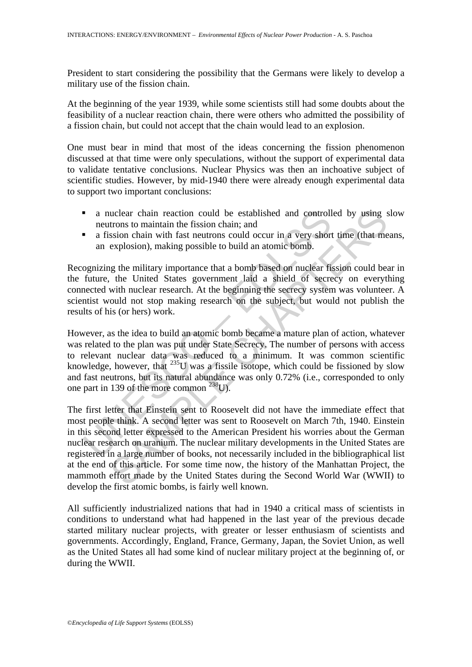President to start considering the possibility that the Germans were likely to develop a military use of the fission chain.

At the beginning of the year 1939, while some scientists still had some doubts about the feasibility of a nuclear reaction chain, there were others who admitted the possibility of a fission chain, but could not accept that the chain would lead to an explosion.

One must bear in mind that most of the ideas concerning the fission phenomenon discussed at that time were only speculations, without the support of experimental data to validate tentative conclusions. Nuclear Physics was then an inchoative subject of scientific studies. However, by mid-1940 there were already enough experimental data to support two important conclusions:

- a nuclear chain reaction could be established and controlled by using slow neutrons to maintain the fission chain; and
- a fission chain with fast neutrons could occur in a very short time (that means, an explosion), making possible to build an atomic bomb.

Recognizing the military importance that a bomb based on nuclear fission could bear in the future, the United States government laid a shield of secrecy on everything connected with nuclear research. At the beginning the secrecy system was volunteer. A scientist would not stop making research on the subject, but would not publish the results of his (or hers) work.

**a** nuclear chain reaction could be established and controll<br>neutrons to maintain the fission chain; and<br>**a** fission chain with fast neutrons could occur in a very short<br>an explosion), making possible to build an atomic b However, as the idea to build an atomic bomb became a mature plan of action, whatever was related to the plan was put under State Secrecy. The number of persons with access to relevant nuclear data was reduced to a minimum. It was common scientific knowledge, however, that  $^{235}U$  was a fissile isotope, which could be fissioned by slow and fast neutrons, but its natural abundance was only 0.72% (i.e., corresponded to only one part in 139 of the more common 238U).

uclear chain reaction could be established and controlled by using s<br>trons to maintain the fission chain; and<br>exonston chain with fast neutrons could occur in a very short time (that me<br>explosion), making possible to build The first letter that Einstein sent to Roosevelt did not have the immediate effect that most people think. A second letter was sent to Roosevelt on March 7th, 1940. Einstein in this second letter expressed to the American President his worries about the German nuclear research on uranium. The nuclear military developments in the United States are registered in a large number of books, not necessarily included in the bibliographical list at the end of this article. For some time now, the history of the Manhattan Project, the mammoth effort made by the United States during the Second World War (WWII) to develop the first atomic bombs, is fairly well known.

All sufficiently industrialized nations that had in 1940 a critical mass of scientists in conditions to understand what had happened in the last year of the previous decade started military nuclear projects, with greater or lesser enthusiasm of scientists and governments. Accordingly, England, France, Germany, Japan, the Soviet Union, as well as the United States all had some kind of nuclear military project at the beginning of, or during the WWII.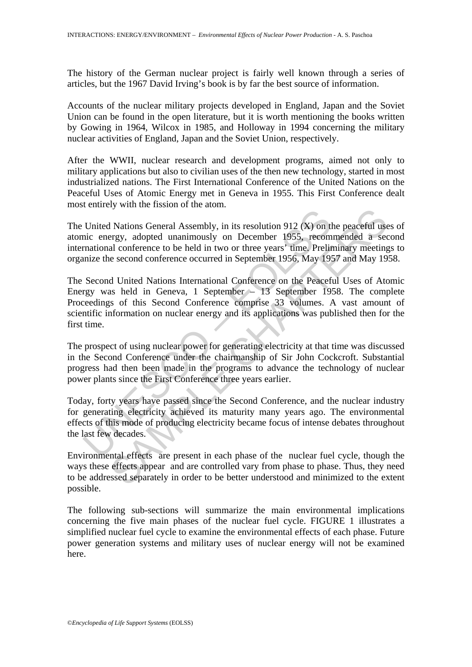The history of the German nuclear project is fairly well known through a series of articles, but the 1967 David Irving's book is by far the best source of information.

Accounts of the nuclear military projects developed in England, Japan and the Soviet Union can be found in the open literature, but it is worth mentioning the books written by Gowing in 1964, Wilcox in 1985, and Holloway in 1994 concerning the military nuclear activities of England, Japan and the Soviet Union, respectively.

After the WWII, nuclear research and development programs, aimed not only to military applications but also to civilian uses of the then new technology, started in most industrialized nations. The First International Conference of the United Nations on the Peaceful Uses of Atomic Energy met in Geneva in 1955. This First Conference dealt most entirely with the fission of the atom.

The United Nations General Assembly, in its resolution 912 (X) on the peaceful uses of atomic energy, adopted unanimously on December 1955, recommended a second international conference to be held in two or three years' time. Preliminary meetings to organize the second conference occurred in September 1956, May 1957 and May 1958.

United Nations General Assembly, in its resolution 912 ( $X$ ) on thic energy, adopted unanimously on December 1955, recommational conference to be held in two or three years' time. Preliminate the second conference occurre by Antransa and analysis, in its resolution 912 (X) on the peaceful usergy, adopted unanimously on December 1955, recommended a section and conference to be held in two or three years' time. Preliminary meeting e second co The Second United Nations International Conference on the Peaceful Uses of Atomic Energy was held in Geneva, 1 September – 13 September 1958. The complete Proceedings of this Second Conference comprise 33 volumes. A vast amount of scientific information on nuclear energy and its applications was published then for the first time.

The prospect of using nuclear power for generating electricity at that time was discussed in the Second Conference under the chairmanship of Sir John Cockcroft. Substantial progress had then been made in the programs to advance the technology of nuclear power plants since the First Conference three years earlier.

Today, forty years have passed since the Second Conference, and the nuclear industry for generating electricity achieved its maturity many years ago. The environmental effects of this mode of producing electricity became focus of intense debates throughout the last few decades.

Environmental effects are present in each phase of the nuclear fuel cycle, though the ways these effects appear and are controlled vary from phase to phase. Thus, they need to be addressed separately in order to be better understood and minimized to the extent possible.

The following sub-sections will summarize the main environmental implications concerning the five main phases of the nuclear fuel cycle. FIGURE 1 illustrates a simplified nuclear fuel cycle to examine the environmental effects of each phase. Future power generation systems and military uses of nuclear energy will not be examined here.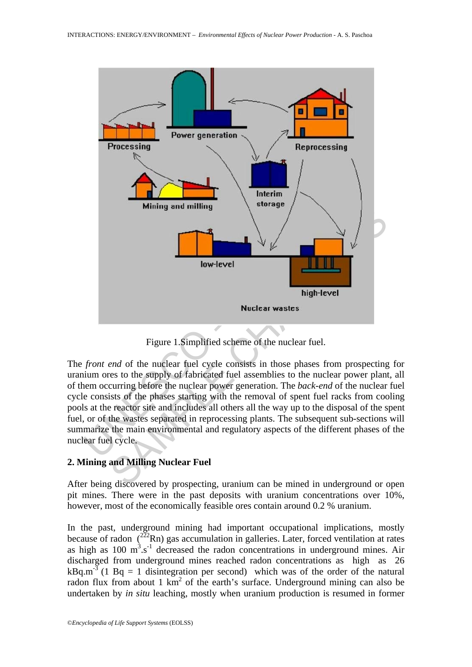

Figure 1.Simplified scheme of the nuclear fuel.

The *front end* of the nuclear fuel cycle consists in those phases from prospecting for uranium ores to the supply of fabricated fuel assemblies to the nuclear power plant, all of them occurring before the nuclear power generation. The *back-end* of the nuclear fuel cycle consists of the phases starting with the removal of spent fuel racks from cooling pools at the reactor site and includes all others all the way up to the disposal of the spent fuel, or of the wastes separated in reprocessing plants. The subsequent sub-sections will summarize the main environmental and regulatory aspects of the different phases of the nuclear fuel cycle.

## **2. Mining and Milling Nuclear Fuel**

After being discovered by prospecting, uranium can be mined in underground or open pit mines. There were in the past deposits with uranium concentrations over 10%, however, most of the economically feasible ores contain around 0.2 % uranium.

In the past, underground mining had important occupational implications, mostly because of radon  $\binom{222}{2}$ Rn) gas accumulation in galleries. Later, forced ventilation at rates as high as  $100 \text{ m}^3$ .s<sup>-1</sup> decreased the radon concentrations in underground mines. Air discharged from underground mines reached radon concentrations as high as 26  $kBq.m<sup>-3</sup>$  (1 Bq = 1 disintegration per second) which was of the order of the natural radon flux from about 1  $km^2$  of the earth's surface. Underground mining can also be undertaken by *in situ* leaching, mostly when uranium production is resumed in former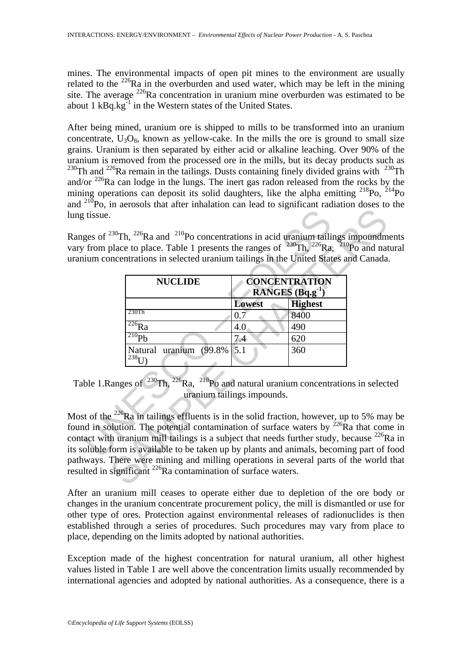mines. The environmental impacts of open pit mines to the environment are usually related to the  $^{226}$ Ra in the overburden and used water, which may be left in the mining site. The average  $^{226}$ Ra concentration in uranium mine overburden was estimated to be about 1  $kBq.kg^{-1}$  in the Western states of the United States.

After being mined, uranium ore is shipped to mills to be transformed into an uranium concentrate,  $U_3O_8$ , known as yellow-cake. In the mills the ore is ground to small size grains. Uranium is then separated by either acid or alkaline leaching. Over 90% of the uranium is removed from the processed ore in the mills, but its decay products such as  $^{230}$ Th and  $^{226}$ Ra remain in the tailings. Dusts containing finely divided grains with  $^{230}$ Th and/or  $^{226}$ Ra can lodge in the lungs. The inert gas radon released from the rocks by the mining operations can deposit its solid daughters, like the alpha emitting  $^{218}P_0$ ,  $^{214}P_0$ and 210Po, in aerosols that after inhalation can lead to significant radiation doses to the lung tissue.

Ranges of <sup>230</sup>Th, <sup>226</sup>Ra and <sup>210</sup>Po concentrations in acid uranium tailings impoundments vary from place to place. Table 1 presents the ranges of  $230$ Th,  $226$ Ra,  $210$ Po and natural uranium concentrations in selected uranium tailings in the United States and Canada.

| tissue.                                                                                                                                                                                                                         | ges of $^{230}$ Th, $^{226}$ Ra and $^{210}$ Po concentrations in acid uranium tailings impoundm<br>from place to place. Table 1 presents the ranges of $^{230}$ Th, $^{226}$ Ra, $^{210}$ Po and nat<br>nium concentrations in selected uranium tailings in the United States and Canada<br><b>NUCLIDE</b>                                                                                                                 |                      | <b>CONCENTRATION</b> |  |
|---------------------------------------------------------------------------------------------------------------------------------------------------------------------------------------------------------------------------------|-----------------------------------------------------------------------------------------------------------------------------------------------------------------------------------------------------------------------------------------------------------------------------------------------------------------------------------------------------------------------------------------------------------------------------|----------------------|----------------------|--|
|                                                                                                                                                                                                                                 |                                                                                                                                                                                                                                                                                                                                                                                                                             | RANGES $(Bq.g^{-1})$ |                      |  |
|                                                                                                                                                                                                                                 |                                                                                                                                                                                                                                                                                                                                                                                                                             | <b>Lowest</b>        | <b>Highest</b>       |  |
|                                                                                                                                                                                                                                 | 230Th                                                                                                                                                                                                                                                                                                                                                                                                                       | 0.7                  | 8400                 |  |
|                                                                                                                                                                                                                                 | $\overline{^{226}}Ra$                                                                                                                                                                                                                                                                                                                                                                                                       | 4.0                  | 490                  |  |
|                                                                                                                                                                                                                                 | $^{210}Pb$                                                                                                                                                                                                                                                                                                                                                                                                                  | 7.4                  | 620                  |  |
|                                                                                                                                                                                                                                 | Natural uranium<br>$(99.8\%$<br>$^{238}$ I I)                                                                                                                                                                                                                                                                                                                                                                               | 5.1                  | 360                  |  |
| ble 1. Ranges of $^{230}$ Th, $^{226}$ Ra, $^{210}$ Po and natural uranium concentrations in select<br>uranium tailings impounds.<br>st of the $^{226}$ Ra in tailings effluents is in the solid fraction, however, up to 5% ma |                                                                                                                                                                                                                                                                                                                                                                                                                             |                      |                      |  |
|                                                                                                                                                                                                                                 | and in solution. The potential contamination of surface waters by $^{226}$ Ra that com<br>act with uranium mill tailings is a subject that needs further study, because $^{226}R$<br>oluble form is available to be taken up by plants and animals, becoming part of to<br>ways. There were mining and milling operations in several parts of the world<br>Ited in significant $^{226}$ Ra contamination of surface waters. |                      |                      |  |

Table 1. Ranges of  $^{230}$ Th,  $^{226}$ Ra,  $^{210}$ Po and natural uranium concentrations in selected uranium tailings impounds.

Most of the <sup>226</sup>Ra in tailings effluents is in the solid fraction, however, up to 5% may be found in solution. The potential contamination of surface waters by  $226$ Ra that come in contact with uranium mill tailings is a subject that needs further study, because  $^{226}$ Ra in its soluble form is available to be taken up by plants and animals, becoming part of food pathways. There were mining and milling operations in several parts of the world that resulted in significant <sup>226</sup>Ra contamination of surface waters.

After an uranium mill ceases to operate either due to depletion of the ore body or changes in the uranium concentrate procurement policy, the mill is dismantled or use for other type of ores. Protection against environmental releases of radionuclides is then established through a series of procedures. Such procedures may vary from place to place, depending on the limits adopted by national authorities.

Exception made of the highest concentration for natural uranium, all other highest values listed in Table 1 are well above the concentration limits usually recommended by international agencies and adopted by national authorities. As a consequence, there is a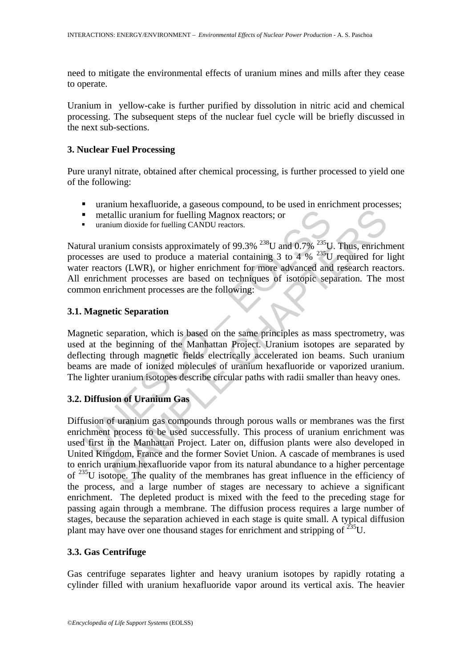need to mitigate the environmental effects of uranium mines and mills after they cease to operate.

Uranium in yellow-cake is further purified by dissolution in nitric acid and chemical processing. The subsequent steps of the nuclear fuel cycle will be briefly discussed in the next sub-sections.

## **3. Nuclear Fuel Processing**

Pure uranyl nitrate, obtained after chemical processing, is further processed to yield one of the following:

- uranium hexafluoride, a gaseous compound, to be used in enrichment processes;
- metallic uranium for fuelling Magnox reactors; or
- uranium dioxide for fuelling CANDU reactors.

**IDENTIFY IN THE SET THE SET THE SET ASSES AND SET THE MUSIC SET USE ON THE SCALL THE SCALL THE SCALL THE SCALL THE SCALL THE SCALL THE SCALL THE SCALL THE SCALL THE SCALL THE SCALL THE SCALL THE SCALL THE SCALL THE SCALL** Natural uranium consists approximately of 99.3%  $^{238}$ U and 0.7%  $^{235}$ U. Thus, enrichment processes are used to produce a material containing 3 to 4  $%$  <sup>235</sup>U required for light water reactors (LWR), or higher enrichment for more advanced and research reactors. All enrichment processes are based on techniques of isotopic separation. The most common enrichment processes are the following:

## **3.1. Magnetic Separation**

Magnetic separation, which is based on the same principles as mass spectrometry, was used at the beginning of the Manhattan Project. Uranium isotopes are separated by deflecting through magnetic fields electrically accelerated ion beams. Such uranium beams are made of ionized molecules of uranium hexafluoride or vaporized uranium. The lighter uranium isotopes describe circular paths with radii smaller than heavy ones.

## **3.2. Diffusion of Uranium Gas**

iallic uranium for fuelling Magnox reactors; or<br>
in this can be another and density of  $99.3\%$   $^{238}$ U and 0.7%  $^{235}$ U. Thus, enrich<br>
in dioxide for fuelling CANDU reactors.<br>
inium consists approximately of  $99.3\%$  Diffusion of uranium gas compounds through porous walls or membranes was the first enrichment process to be used successfully. This process of uranium enrichment was used first in the Manhattan Project. Later on, diffusion plants were also developed in United Kingdom, France and the former Soviet Union. A cascade of membranes is used to enrich uranium hexafluoride vapor from its natural abundance to a higher percentage of 235U isotope. The quality of the membranes has great influence in the efficiency of the process, and a large number of stages are necessary to achieve a significant enrichment. The depleted product is mixed with the feed to the preceding stage for passing again through a membrane. The diffusion process requires a large number of stages, because the separation achieved in each stage is quite small. A typical diffusion plant may have over one thousand stages for enrichment and stripping of  $^{235}U$ .

## **3.3. Gas Centrifuge**

Gas centrifuge separates lighter and heavy uranium isotopes by rapidly rotating a cylinder filled with uranium hexafluoride vapor around its vertical axis. The heavier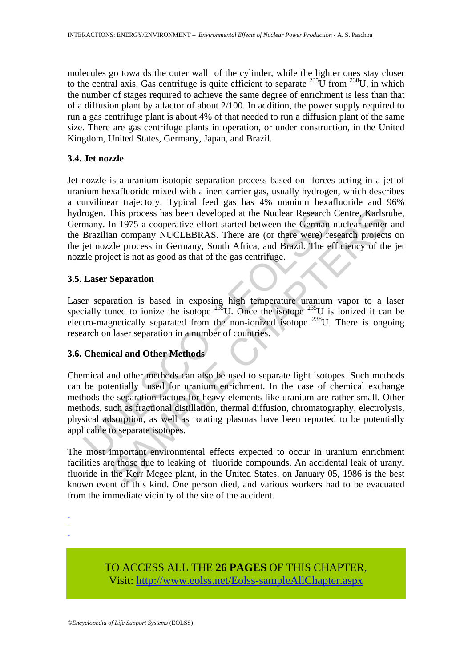molecules go towards the outer wall of the cylinder, while the lighter ones stay closer to the central axis. Gas centrifuge is quite efficient to separate  $^{235}$ U from  $^{238}$ U, in which the number of stages required to achieve the same degree of enrichment is less than that of a diffusion plant by a factor of about 2/100. In addition, the power supply required to run a gas centrifuge plant is about 4% of that needed to run a diffusion plant of the same size. There are gas centrifuge plants in operation, or under construction, in the United Kingdom, United States, Germany, Japan, and Brazil.

## **3.4. Jet nozzle**

Jet nozzle is a uranium isotopic separation process based on forces acting in a jet of uranium hexafluoride mixed with a inert carrier gas, usually hydrogen, which describes a curvilinear trajectory. Typical feed gas has 4% uranium hexafluoride and 96% hydrogen. This process has been developed at the Nuclear Research Centre, Karlsruhe, Germany. In 1975 a cooperative effort started between the German nuclear center and the Brazilian company NUCLEBRAS. There are (or there were) research projects on the jet nozzle process in Germany, South Africa, and Brazil. The efficiency of the jet nozzle project is not as good as that of the gas centrifuge.

## **3.5. Laser Separation**

Laser separation is based in exposing high temperature uranium vapor to a laser specially tuned to ionize the isotope  $235$ U. Once the isotope  $235$ U is ionized it can be electro-magnetically separated from the non-ionized isotope  $^{238}$ U. There is ongoing research on laser separation in a number of countries.

## **3.6. Chemical and Other Methods**

rogen. This process has been developed at the Nuclear Research<br>many. In 1975 a cooperative effort started between the German<br>Brazilian company NUCLEBRAS. There are (or there were) re<br>it nozzle process in Germany, South Afr This process has been developed at the Nuclear Research Centre, Karlsr<br>In 1975 a cooperative effort started between the German nuclear eenter<br>an company NUCLEBRAS. There are (or there were) research project<br>ext as pood as Chemical and other methods can also be used to separate light isotopes. Such methods can be potentially used for uranium enrichment. In the case of chemical exchange methods the separation factors for heavy elements like uranium are rather small. Other methods, such as fractional distillation, thermal diffusion, chromatography, electrolysis, physical adsorption, as well as rotating plasmas have been reported to be potentially applicable to separate isotopes.

The most important environmental effects expected to occur in uranium enrichment facilities are those due to leaking of fluoride compounds. An accidental leak of uranyl fluoride in the Kerr Mcgee plant, in the United States, on January 05, 1986 is the best known event of this kind. One person died, and various workers had to be evacuated from the immediate vicinity of the site of the accident.

- -
- -

TO ACCESS ALL THE **26 PAGES** OF THIS CHAPTER, Visi[t: http://www.eolss.net/Eolss-sampleAllChapter.aspx](https://www.eolss.net/ebooklib/sc_cart.aspx?File=E4-23-03)

<sup>-</sup>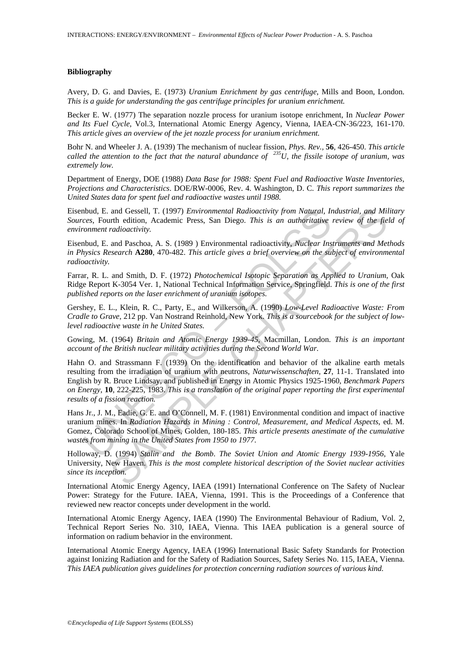#### **Bibliography**

Avery, D. G. and Davies, E. (1973) *Uranium Enrichment by gas centrifuge*, Mills and Boon, London. *This is a guide for understanding the gas centrifuge principles for uranium enrichment.* 

Becker E. W. (1977) The separation nozzle process for uranium isotope enrichment, In *Nuclear Power and Its Fuel Cycle*, Vol.3, International Atomic Energy Agency, Vienna, IAEA-CN-36/223, 161-170. *This article gives an overview of the jet nozzle process for uranium enrichment.* 

Bohr N. and Wheeler J. A. (1939) The mechanism of nuclear fission, *Phys. Rev.,* **56**, 426-450. *This article called the attention to the fact that the natural abundance of 235U, the fissile isotope of uranium, was extremely low.* 

Department of Energy, DOE (1988) *Data Base for 1988: Spent Fuel and Radioactive Waste Inventories, Projections and Characteristics*. DOE/RW-0006, Rev. 4. Washington, D. C. *This report summarizes the United States data for spent fuel and radioactive wastes until 1988.*

Eisenbud, E. and Gessell, T. (1997) *Environmental Radioactivity from Natural, Industrial, and Military Sources*, Fourth edition, Academic Press, San Diego. *This is an authoritative review of the field of environment radioactivity.* 

Eisenbud, E. and Paschoa, A. S. (1989 ) Environmental radioactivity, *Nuclear Instruments and Methods in Physics Research* **A280**, 470-482. *This article gives a brief overview on the subject of environmental radioactivity.* 

Farrar, R. L. and Smith, D. F. (1972) *Photochemical Isotopic Separation as Applied to Uranium*, Oak Ridge Report K-3054 Ver. 1, National Technical Information Service, Springfield. *This is one of the first published reports on the laser enrichment of uranium isotopes.* 

Gershey, E. L., Klein, R. C., Party, E., and Wilkerson, A. (1990) *Low-Level Radioactive Waste: From Cradle to Grave*, 212 pp. Van Nostrand Reinhold, New York. *This is a sourcebook for the subject of lowlevel radioactive waste in he United States.* 

Gowing, M. (1964) *Britain and Atomic Energy 1939-45*, Macmillan, London. *This is an important account of the British nuclear military activities during the Second World War.* 

Aboul, E. and Gessell, T. (1997) *Environmental Radioactivity from Natural, In*<br>
contract Fourth edition, Academic Press, San Diego. *This is an authoritative*<br>
content radioactivity.<br>
Noud, E. and Paschoa, A. S. (1989) En and Gessell, T. (1997) *Environmental Radioactivity from Natural, Industrial, and Mix-<br>
radioactivity.*<br>
and Paschoa, A. S. (1989) Environmental radioactivity, *Nuclear Instruments and Me*<br> *radioactivity.*<br>
and Paschoa, A Hahn O. and Strassmann F. (1939) On the identification and behavior of the alkaline earth metals resulting from the irradiation of uranium with neutrons, *Naturwissenschaften,* **27**, 11-1. Translated into English by R. Bruce Lindsay, and published in Energy in Atomic Physics 1925-1960, *Benchmark Papers on Energy*, **10**, 222-225, 1983. *This is a translation of the original paper reporting the first experimental results of a fission reaction.* 

Hans Jr., J. M., Eadie, G. E. and O'Connell, M. F. (1981) Environmental condition and impact of inactive uranium mines. In *Radiation Hazards in Mining : Control, Measurement, and Medical Aspects*, ed. M. Gomez, Colorado School of Mines, Golden, 180-185. *This article presents anestimate of the cumulative wastes from mining in the United States from 1950 to 1977.* 

Holloway, D. (1994) *Stalin and the Bomb*. *The Soviet Union and Atomic Energy 1939-1956*, Yale University, New Haven. *This is the most complete historical description of the Soviet nuclear activities since its inception.* 

International Atomic Energy Agency, IAEA (1991) International Conference on The Safety of Nuclear Power: Strategy for the Future. IAEA, Vienna, 1991. This is the Proceedings of a Conference that reviewed new reactor concepts under development in the world.

International Atomic Energy Agency, IAEA (1990) The Environmental Behaviour of Radium, Vol. 2, Technical Report Series No. 310, IAEA, Vienna. This IAEA publication is a general source of information on radium behavior in the environment.

International Atomic Energy Agency, IAEA (1996) International Basic Safety Standards for Protection against Ionizing Radiation and for the Safety of Radiation Sources, Safety Series No. 115, IAEA, Vienna. *This IAEA publication gives guidelines for protection concerning radiation sources of various kind.*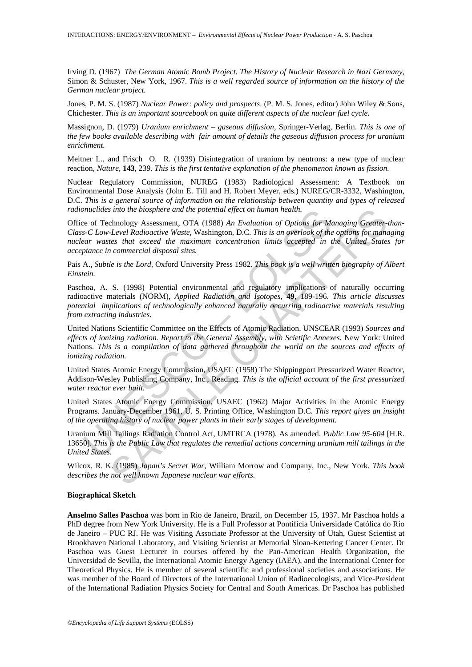Irving D. (1967) *The German Atomic Bomb Project. The History of Nuclear Research in Nazi Germany*, Simon & Schuster, New York, 1967. *This is a well regarded source of information on the history of the German nuclear project.* 

Jones, P. M. S. (1987) *Nuclear Power: policy and prospects*. (P. M. S. Jones, editor) John Wiley & Sons, Chichester. *This is an important sourcebook on quite different aspects of the nuclear fuel cycle.* 

Massignon, D. (1979) *Uranium enrichment – gaseous diffusion*, Springer-Verlag, Berlin. *This is one of the few books available describing with fair amount of details the gaseous diffusion process for uranium enrichment.* 

Meitner L., and Frisch O. R. (1939) Disintegration of uranium by neutrons: a new type of nuclear reaction, *Nature,* **143**, 239. *This is the first tentative explanation of the phenomenon known as fission.* 

Nuclear Regulatory Commission, NUREG (1983) Radiological Assessment: A Textbook on Environmental Dose Analysis (John E. Till and H. Robert Meyer, eds.) NUREG/CR-3332, Washington, D.C. *This is a general source of information on the relationship between quantity and types of released radionuclides into the biosphere and the potential effect on human health.* 

muchdes into the biosphere and the potential effect on human health.<br>
e of Technology Assessment, OTA (1988) An Evaluation of Options for M<br>
e-C Low-Level Radioactive Waster, Washington, D.C. This is an overlook of the<br>
ea sinto the biosphere and the potential effect on human health.<br>
Chrology Assessment, OTA (1988) An Evaluation of Options for Managing Greater-<br>
Level Radioactive Waste, Washington, D.C. This is an overlook of the options fo Office of Technology Assessment, OTA (1988) *An Evaluation of Options for Managing Greater-than-Class-C Low-Level Radioactive Waste*, Washington, D.C. *This is an overlook of the options for managing nuclear wastes that exceed the maximum concentration limits accepted in the United States for acceptance in commercial disposal sites.* 

Pais A., *Subtle is the Lord*, Oxford University Press 1982. *This book is a well written biography of Albert Einstein.* 

Paschoa, A. S. (1998) Potential environmental and regulatory implications of naturally occurring radioactive materials (NORM), *Applied Radiation and Isotopes,* **49**, 189-196. *This article discusses potential implications of technologically enhanced naturally occurring radioactive materials resulting from extracting industries.* 

United Nations Scientific Committee on the Effects of Atomic Radiation, UNSCEAR (1993) *Sources and effects of ionizing radiation. Report to the General Assembly, with Scietific Annexes.* New York: United Nations. *This is a compilation of data gathered throughout the world on the sources and effects of ionizing radiation.* 

United States Atomic Energy Commission, USAEC (1958) The Shippingport Pressurized Water Reactor, Addison-Wesley Publishing Company, Inc., Reading. *This is the official account of the first pressurized water reactor ever built.* 

United States Atomic Energy Commission, USAEC (1962) Major Activities in the Atomic Energy Programs. January-December 1961, U. S. Printing Office, Washington D.C. *This report gives an insight of the operating history of nuclear power plants in their early stages of development.* 

Uranium Mill Tailings Radiation Control Act, UMTRCA (1978). As amended. *Public Law 95-604* [H.R. 13650]. *This is the Public Law that regulates the remedial actions concerning uranium mill tailings in the United States.* 

Wilcox, R. K. (1985) *Japan's Secret War*, William Morrow and Company, Inc., New York. *This book describes the not well known Japanese nuclear war efforts.* 

#### **Biographical Sketch**

**Anselmo Salles Paschoa** was born in Rio de Janeiro, Brazil, on December 15, 1937. Mr Paschoa holds a PhD degree from New York University. He is a Full Professor at Pontifícia Universidade Católica do Rio de Janeiro – PUC RJ. He was Visiting Associate Professor at the University of Utah, Guest Scientist at Brookhaven National Laboratory, and Visiting Scientist at Memorial Sloan-Kettering Cancer Center. Dr Paschoa was Guest Lecturer in courses offered by the Pan-American Health Organization, the Universidad de Sevilla, the International Atomic Energy Agency (IAEA), and the International Center for Theoretical Physics. He is member of several scientific and professional societies and associations. He was member of the Board of Directors of the International Union of Radioecologists, and Vice-President of the International Radiation Physics Society for Central and South Americas. Dr Paschoa has published